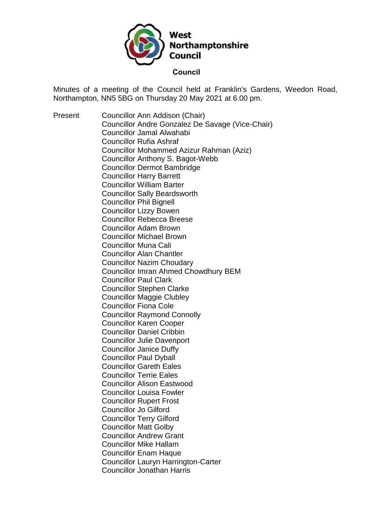

Minutes of a meeting of the Council held at Franklin's Gardens, Weedon Road, Northampton, NN5 5BG on Thursday 20 May 2021 at 6.00 pm.

Present Councillor Ann Addison (Chair) Councillor Andre Gonzalez De Savage (Vice-Chair) Councillor Jamal Alwahabi Councillor Rufia Ashraf Councillor Mohammed Azizur Rahman (Aziz) Councillor Anthony S. Bagot-Webb Councillor Dermot Bambridge Councillor Harry Barrett Councillor William Barter Councillor Sally Beardsworth Councillor Phil Bignell Councillor Lizzy Bowen Councillor Rebecca Breese Councillor Adam Brown Councillor Michael Brown Councillor Muna Cali Councillor Alan Chantler Councillor Nazim Choudary Councillor Imran Ahmed Chowdhury BEM Councillor Paul Clark Councillor Stephen Clarke Councillor Maggie Clubley Councillor Fiona Cole Councillor Raymond Connolly Councillor Karen Cooper Councillor Daniel Cribbin Councillor Julie Davenport Councillor Janice Duffy Councillor Paul Dyball Councillor Gareth Eales Councillor Terrie Eales Councillor Alison Eastwood Councillor Louisa Fowler Councillor Rupert Frost Councillor Jo Gilford Councillor Terry Gilford Councillor Matt Golby Councillor Andrew Grant Councillor Mike Hallam Councillor Enam Haque Councillor Lauryn Harrington-Carter Councillor Jonathan Harris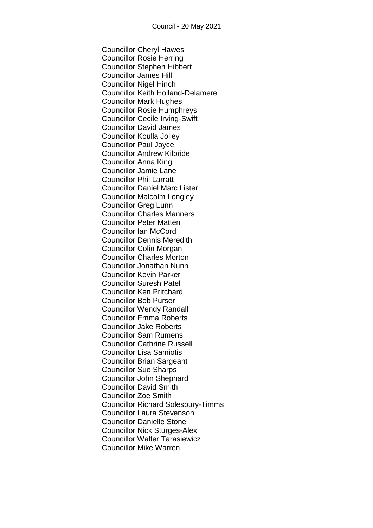Councillor Cheryl Hawes Councillor Rosie Herring Councillor Stephen Hibbert Councillor James Hill Councillor Nigel Hinch Councillor Keith Holland-Delamere Councillor Mark Hughes Councillor Rosie Humphreys Councillor Cecile Irving-Swift Councillor David James Councillor Koulla Jolley Councillor Paul Joyce Councillor Andrew Kilbride Councillor Anna King Councillor Jamie Lane Councillor Phil Larratt Councillor Daniel Marc Lister Councillor Malcolm Longley Councillor Greg Lunn Councillor Charles Manners Councillor Peter Matten Councillor Ian McCord Councillor Dennis Meredith Councillor Colin Morgan Councillor Charles Morton Councillor Jonathan Nunn Councillor Kevin Parker Councillor Suresh Patel Councillor Ken Pritchard Councillor Bob Purser Councillor Wendy Randall Councillor Emma Roberts Councillor Jake Roberts Councillor Sam Rumens Councillor Cathrine Russell Councillor Lisa Samiotis Councillor Brian Sargeant Councillor Sue Sharps Councillor John Shephard Councillor David Smith Councillor Zoe Smith Councillor Richard Solesbury-Timms Councillor Laura Stevenson Councillor Danielle Stone Councillor Nick Sturges-Alex Councillor Walter Tarasiewicz Councillor Mike Warren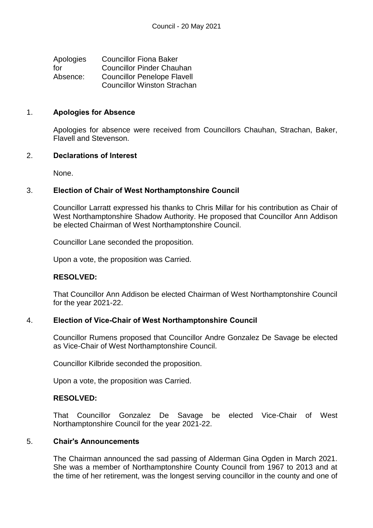| Apologies | <b>Councillor Fiona Baker</b>      |
|-----------|------------------------------------|
| for       | <b>Councillor Pinder Chauhan</b>   |
| Absence:  | <b>Councillor Penelope Flavell</b> |
|           | <b>Councillor Winston Strachan</b> |

#### 1. **Apologies for Absence**

Apologies for absence were received from Councillors Chauhan, Strachan, Baker, Flavell and Stevenson.

### 2. **Declarations of Interest**

None.

### 3. **Election of Chair of West Northamptonshire Council**

Councillor Larratt expressed his thanks to Chris Millar for his contribution as Chair of West Northamptonshire Shadow Authority. He proposed that Councillor Ann Addison be elected Chairman of West Northamptonshire Council.

Councillor Lane seconded the proposition.

Upon a vote, the proposition was Carried.

### **RESOLVED:**

That Councillor Ann Addison be elected Chairman of West Northamptonshire Council for the year 2021-22.

### 4. **Election of Vice-Chair of West Northamptonshire Council**

Councillor Rumens proposed that Councillor Andre Gonzalez De Savage be elected as Vice-Chair of West Northamptonshire Council.

Councillor Kilbride seconded the proposition.

Upon a vote, the proposition was Carried.

### **RESOLVED:**

That Councillor Gonzalez De Savage be elected Vice-Chair of West Northamptonshire Council for the year 2021-22.

#### 5. **Chair's Announcements**

The Chairman announced the sad passing of Alderman Gina Ogden in March 2021. She was a member of Northamptonshire County Council from 1967 to 2013 and at the time of her retirement, was the longest serving councillor in the county and one of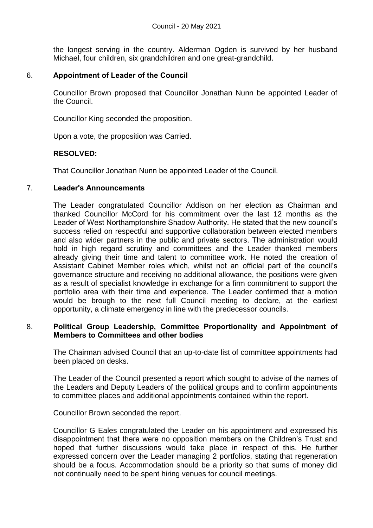the longest serving in the country. Alderman Ogden is survived by her husband Michael, four children, six grandchildren and one great-grandchild.

# 6. **Appointment of Leader of the Council**

Councillor Brown proposed that Councillor Jonathan Nunn be appointed Leader of the Council.

Councillor King seconded the proposition.

Upon a vote, the proposition was Carried.

### **RESOLVED:**

That Councillor Jonathan Nunn be appointed Leader of the Council.

#### 7. **Leader's Announcements**

The Leader congratulated Councillor Addison on her election as Chairman and thanked Councillor McCord for his commitment over the last 12 months as the Leader of West Northamptonshire Shadow Authority. He stated that the new council's success relied on respectful and supportive collaboration between elected members and also wider partners in the public and private sectors. The administration would hold in high regard scrutiny and committees and the Leader thanked members already giving their time and talent to committee work. He noted the creation of Assistant Cabinet Member roles which, whilst not an official part of the council's governance structure and receiving no additional allowance, the positions were given as a result of specialist knowledge in exchange for a firm commitment to support the portfolio area with their time and experience. The Leader confirmed that a motion would be brough to the next full Council meeting to declare, at the earliest opportunity, a climate emergency in line with the predecessor councils.

### 8. **Political Group Leadership, Committee Proportionality and Appointment of Members to Committees and other bodies**

The Chairman advised Council that an up-to-date list of committee appointments had been placed on desks.

The Leader of the Council presented a report which sought to advise of the names of the Leaders and Deputy Leaders of the political groups and to confirm appointments to committee places and additional appointments contained within the report.

Councillor Brown seconded the report.

Councillor G Eales congratulated the Leader on his appointment and expressed his disappointment that there were no opposition members on the Children's Trust and hoped that further discussions would take place in respect of this. He further expressed concern over the Leader managing 2 portfolios, stating that regeneration should be a focus. Accommodation should be a priority so that sums of money did not continually need to be spent hiring venues for council meetings.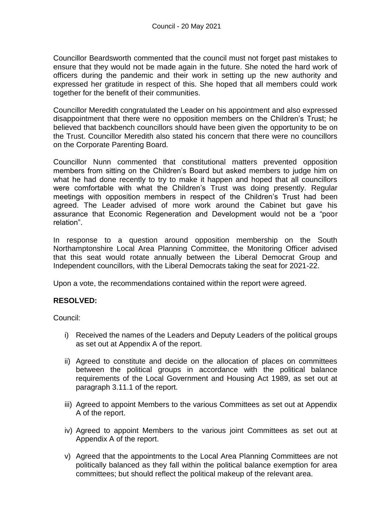Councillor Beardsworth commented that the council must not forget past mistakes to ensure that they would not be made again in the future. She noted the hard work of officers during the pandemic and their work in setting up the new authority and expressed her gratitude in respect of this. She hoped that all members could work together for the benefit of their communities.

Councillor Meredith congratulated the Leader on his appointment and also expressed disappointment that there were no opposition members on the Children's Trust; he believed that backbench councillors should have been given the opportunity to be on the Trust. Councillor Meredith also stated his concern that there were no councillors on the Corporate Parenting Board.

Councillor Nunn commented that constitutional matters prevented opposition members from sitting on the Children's Board but asked members to judge him on what he had done recently to try to make it happen and hoped that all councillors were comfortable with what the Children's Trust was doing presently. Regular meetings with opposition members in respect of the Children's Trust had been agreed. The Leader advised of more work around the Cabinet but gave his assurance that Economic Regeneration and Development would not be a "poor relation".

In response to a question around opposition membership on the South Northamptonshire Local Area Planning Committee, the Monitoring Officer advised that this seat would rotate annually between the Liberal Democrat Group and Independent councillors, with the Liberal Democrats taking the seat for 2021-22.

Upon a vote, the recommendations contained within the report were agreed.

# **RESOLVED:**

Council:

- i) Received the names of the Leaders and Deputy Leaders of the political groups as set out at Appendix A of the report.
- ii) Agreed to constitute and decide on the allocation of places on committees between the political groups in accordance with the political balance requirements of the Local Government and Housing Act 1989, as set out at paragraph 3.11.1 of the report.
- iii) Agreed to appoint Members to the various Committees as set out at Appendix A of the report.
- iv) Agreed to appoint Members to the various joint Committees as set out at Appendix A of the report.
- v) Agreed that the appointments to the Local Area Planning Committees are not politically balanced as they fall within the political balance exemption for area committees; but should reflect the political makeup of the relevant area.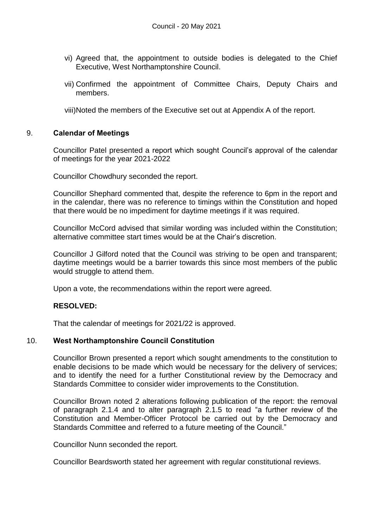- vi) Agreed that, the appointment to outside bodies is delegated to the Chief Executive, West Northamptonshire Council.
- vii) Confirmed the appointment of Committee Chairs, Deputy Chairs and members.

viii)Noted the members of the Executive set out at Appendix A of the report.

#### 9. **Calendar of Meetings**

Councillor Patel presented a report which sought Council's approval of the calendar of meetings for the year 2021-2022

Councillor Chowdhury seconded the report.

Councillor Shephard commented that, despite the reference to 6pm in the report and in the calendar, there was no reference to timings within the Constitution and hoped that there would be no impediment for daytime meetings if it was required.

Councillor McCord advised that similar wording was included within the Constitution; alternative committee start times would be at the Chair's discretion.

Councillor J Gilford noted that the Council was striving to be open and transparent; daytime meetings would be a barrier towards this since most members of the public would struggle to attend them.

Upon a vote, the recommendations within the report were agreed.

### **RESOLVED:**

That the calendar of meetings for 2021/22 is approved.

### 10. **West Northamptonshire Council Constitution**

Councillor Brown presented a report which sought amendments to the constitution to enable decisions to be made which would be necessary for the delivery of services; and to identify the need for a further Constitutional review by the Democracy and Standards Committee to consider wider improvements to the Constitution.

Councillor Brown noted 2 alterations following publication of the report: the removal of paragraph 2.1.4 and to alter paragraph 2.1.5 to read "a further review of the Constitution and Member-Officer Protocol be carried out by the Democracy and Standards Committee and referred to a future meeting of the Council."

Councillor Nunn seconded the report.

Councillor Beardsworth stated her agreement with regular constitutional reviews.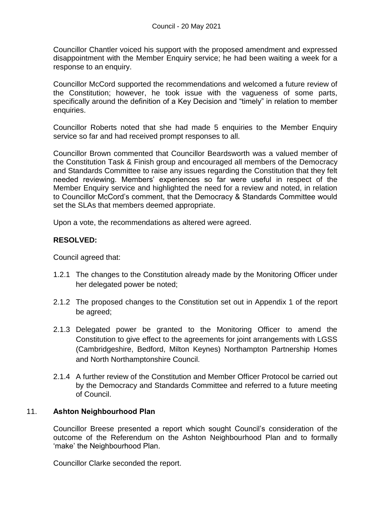Councillor Chantler voiced his support with the proposed amendment and expressed disappointment with the Member Enquiry service; he had been waiting a week for a response to an enquiry.

Councillor McCord supported the recommendations and welcomed a future review of the Constitution; however, he took issue with the vagueness of some parts, specifically around the definition of a Key Decision and "timely" in relation to member enquiries.

Councillor Roberts noted that she had made 5 enquiries to the Member Enquiry service so far and had received prompt responses to all.

Councillor Brown commented that Councillor Beardsworth was a valued member of the Constitution Task & Finish group and encouraged all members of the Democracy and Standards Committee to raise any issues regarding the Constitution that they felt needed reviewing. Members' experiences so far were useful in respect of the Member Enquiry service and highlighted the need for a review and noted, in relation to Councillor McCord's comment, that the Democracy & Standards Committee would set the SLAs that members deemed appropriate.

Upon a vote, the recommendations as altered were agreed.

### **RESOLVED:**

Council agreed that:

- 1.2.1 The changes to the Constitution already made by the Monitoring Officer under her delegated power be noted;
- 2.1.2 The proposed changes to the Constitution set out in Appendix 1 of the report be agreed;
- 2.1.3 Delegated power be granted to the Monitoring Officer to amend the Constitution to give effect to the agreements for joint arrangements with LGSS (Cambridgeshire, Bedford, Milton Keynes) Northampton Partnership Homes and North Northamptonshire Council.
- 2.1.4 A further review of the Constitution and Member Officer Protocol be carried out by the Democracy and Standards Committee and referred to a future meeting of Council.

### 11. **Ashton Neighbourhood Plan**

Councillor Breese presented a report which sought Council's consideration of the outcome of the Referendum on the Ashton Neighbourhood Plan and to formally 'make' the Neighbourhood Plan.

Councillor Clarke seconded the report.